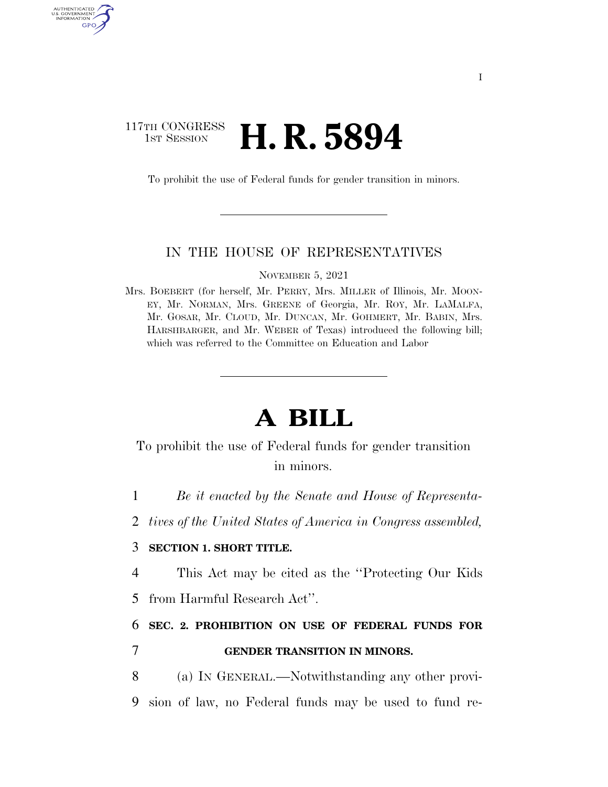## 117TH CONGRESS **1st Session H. R. 5894**

AUTHENTICATE U.S. GOVERNMENT GPO

To prohibit the use of Federal funds for gender transition in minors.

#### IN THE HOUSE OF REPRESENTATIVES

NOVEMBER 5, 2021

Mrs. BOEBERT (for herself, Mr. PERRY, Mrs. MILLER of Illinois, Mr. MOON-EY, Mr. NORMAN, Mrs. GREENE of Georgia, Mr. ROY, Mr. LAMALFA, Mr. GOSAR, Mr. CLOUD, Mr. DUNCAN, Mr. GOHMERT, Mr. BABIN, Mrs. HARSHBARGER, and Mr. WEBER of Texas) introduced the following bill; which was referred to the Committee on Education and Labor

# **A BILL**

To prohibit the use of Federal funds for gender transition in minors.

1 *Be it enacted by the Senate and House of Representa-*

2 *tives of the United States of America in Congress assembled,* 

### 3 **SECTION 1. SHORT TITLE.**

4 This Act may be cited as the ''Protecting Our Kids

5 from Harmful Research Act''.

6 **SEC. 2. PROHIBITION ON USE OF FEDERAL FUNDS FOR** 

### 7 **GENDER TRANSITION IN MINORS.**

8 (a) IN GENERAL.—Notwithstanding any other provi-9 sion of law, no Federal funds may be used to fund re